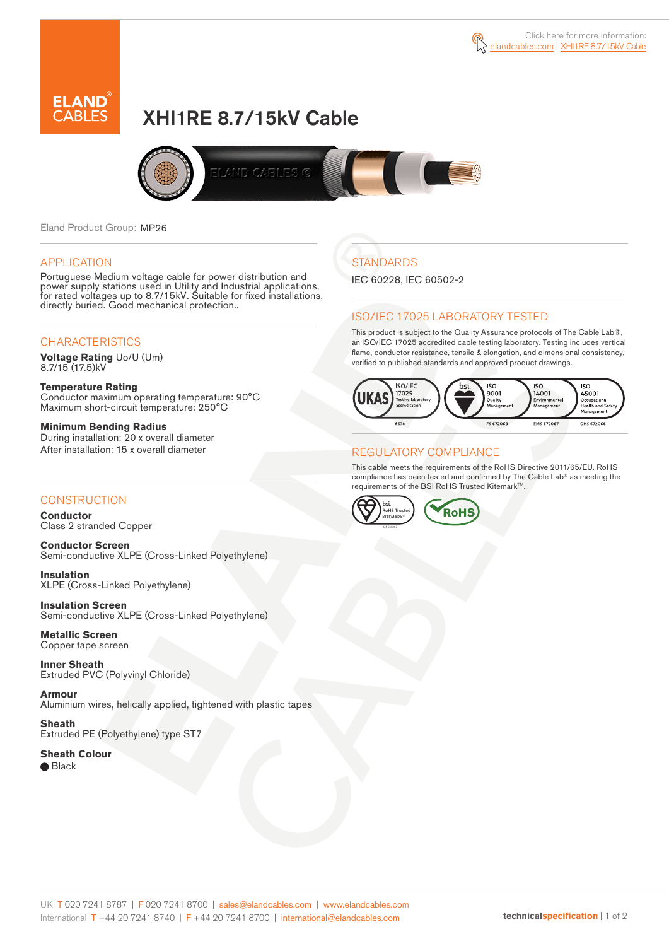



# XHI1RE 8.7/15kV Cable



Eland Product Group: MP26

#### APPLICATION

Portuguese Medium voltage cable for power distribution and power supply stations used in Utility and Industrial applications, for rated voltages up to 8.7/15kV. Suitable for fixed installations, directly buried. Good mechanical protection..

### **CHARACTERISTICS**

**Voltage Rating** Uo/U (Um) 8.7/15 (17.5)kV

**Temperature Rating** Conductor maximum operating temperature: 90°C Maximum short-circuit temperature: 250°C

**Minimum Bending Radius** During installation: 20 x overall diameter After installation: 15 x overall diameter

#### **CONSTRUCTION**

**Conductor**  Class 2 stranded Copper

**Conductor Screen** Semi-conductive XLPE (Cross-Linked Polyethylene)

**Insulation** XLPE (Cross-Linked Polyethylene)

**Insulation Screen** Semi-conductive XLPE (Cross-Linked Polyethylene)

**Metallic Screen**  Copper tape screen

**Inner Sheath** Extruded PVC (Polyvinyl Chloride)

**Armour** Aluminium wires, helically applied, tightened with plastic tapes

**Sheath** Extruded PE (Polyethylene) type ST7

**Sheath Colour** ● Black

**STANDARDS** 

IEC 60228, IEC 60502-2

#### ISO/IEC 17025 LABORATORY TESTED

This product is subject to the Quality Assurance protocols of The Cable Lab®, an ISO/IEC 17025 accredited cable testing laboratory. Testing includes vertical flame, conductor resistance, tensile & elongation, and dimensional consistency, verified to published standards and approved product drawings.



#### REGULATORY COMPLIANCE

This cable meets the requirements of the RoHS Directive 2011/65/EU. RoHS compliance has been tested and confirmed by The Cable Lab® as meeting the requirements of the BSI RoHS Trusted Kitemark™.